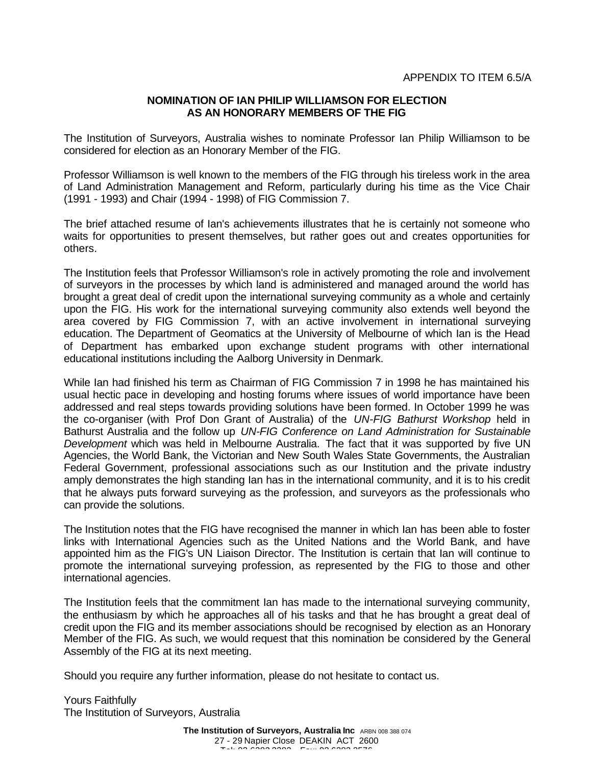## **NOMINATION OF IAN PHILIP WILLIAMSON FOR ELECTION AS AN HONORARY MEMBERS OF THE FIG**

The Institution of Surveyors, Australia wishes to nominate Professor Ian Philip Williamson to be considered for election as an Honorary Member of the FIG.

Professor Williamson is well known to the members of the FIG through his tireless work in the area of Land Administration Management and Reform, particularly during his time as the Vice Chair (1991 - 1993) and Chair (1994 - 1998) of FIG Commission 7.

The brief attached resume of Ian's achievements illustrates that he is certainly not someone who waits for opportunities to present themselves, but rather goes out and creates opportunities for others.

The Institution feels that Professor Williamson's role in actively promoting the role and involvement of surveyors in the processes by which land is administered and managed around the world has brought a great deal of credit upon the international surveying community as a whole and certainly upon the FIG. His work for the international surveying community also extends well beyond the area covered by FIG Commission 7, with an active involvement in international surveying education. The Department of Geomatics at the University of Melbourne of which Ian is the Head of Department has embarked upon exchange student programs with other international educational institutions including the Aalborg University in Denmark.

While Ian had finished his term as Chairman of FIG Commission 7 in 1998 he has maintained his usual hectic pace in developing and hosting forums where issues of world importance have been addressed and real steps towards providing solutions have been formed. In October 1999 he was the co-organiser (with Prof Don Grant of Australia) of the *UN-FIG Bathurst Workshop* held in Bathurst Australia and the follow up *UN-FIG Conference on Land Administration for Sustainable Development* which was held in Melbourne Australia. The fact that it was supported by five UN Agencies, the World Bank, the Victorian and New South Wales State Governments, the Australian Federal Government, professional associations such as our Institution and the private industry amply demonstrates the high standing Ian has in the international community, and it is to his credit that he always puts forward surveying as the profession, and surveyors as the professionals who can provide the solutions.

The Institution notes that the FIG have recognised the manner in which Ian has been able to foster links with International Agencies such as the United Nations and the World Bank, and have appointed him as the FIG's UN Liaison Director. The Institution is certain that Ian will continue to promote the international surveying profession, as represented by the FIG to those and other international agencies.

The Institution feels that the commitment Ian has made to the international surveying community, the enthusiasm by which he approaches all of his tasks and that he has brought a great deal of credit upon the FIG and its member associations should be recognised by election as an Honorary Member of the FIG. As such, we would request that this nomination be considered by the General Assembly of the FIG at its next meeting.

Should you require any further information, please do not hesitate to contact us.

Yours Faithfully The Institution of Surveyors, Australia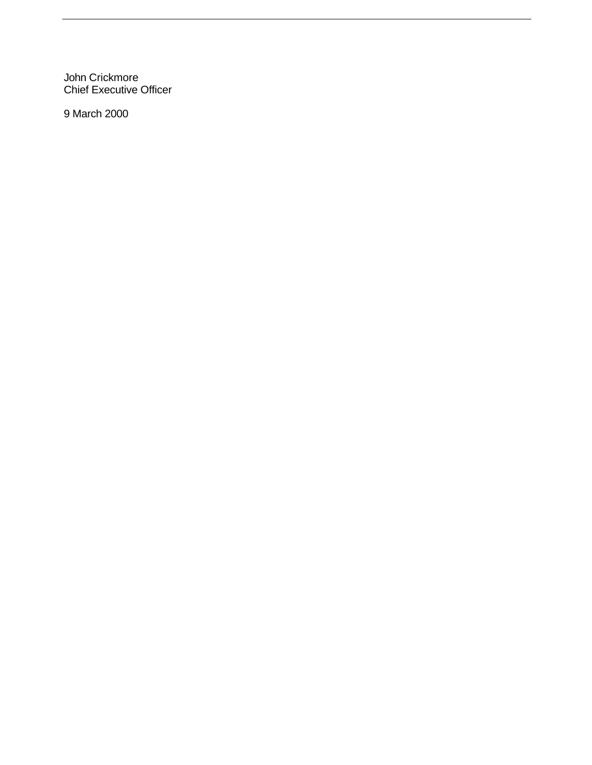John Crickmore Chief Executive Officer

9 March 2000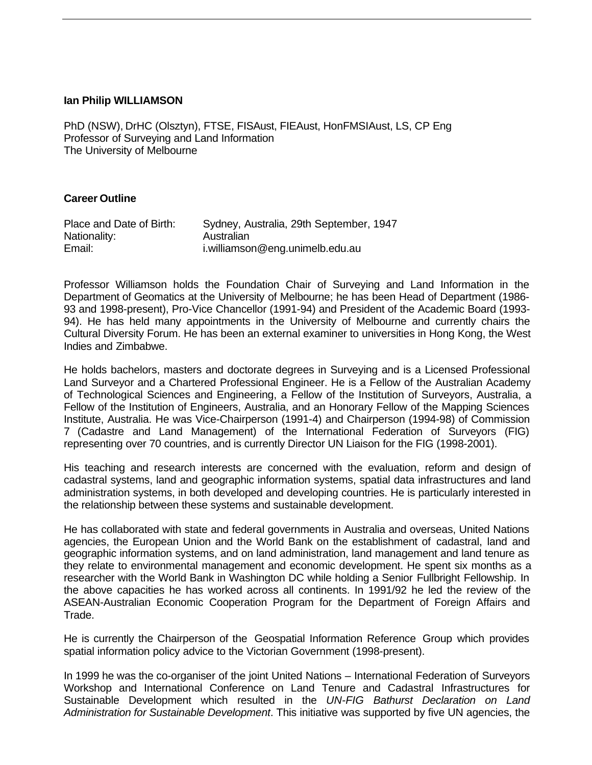## **Ian Philip WILLIAMSON**

PhD (NSW), DrHC (Olsztyn), FTSE, FISAust, FIEAust, HonFMSIAust, LS, CP Eng Professor of Surveying and Land Information The University of Melbourne

## **Career Outline**

| Place and Date of Birth: | Sydney, Australia, 29th September, 1947 |
|--------------------------|-----------------------------------------|
| Nationality:             | Australian                              |
| Email:                   | i.williamson@eng.unimelb.edu.au         |

Professor Williamson holds the Foundation Chair of Surveying and Land Information in the Department of Geomatics at the University of Melbourne; he has been Head of Department (1986- 93 and 1998-present), Pro-Vice Chancellor (1991-94) and President of the Academic Board (1993- 94). He has held many appointments in the University of Melbourne and currently chairs the Cultural Diversity Forum. He has been an external examiner to universities in Hong Kong, the West Indies and Zimbabwe.

He holds bachelors, masters and doctorate degrees in Surveying and is a Licensed Professional Land Surveyor and a Chartered Professional Engineer. He is a Fellow of the Australian Academy of Technological Sciences and Engineering, a Fellow of the Institution of Surveyors, Australia, a Fellow of the Institution of Engineers, Australia, and an Honorary Fellow of the Mapping Sciences Institute, Australia. He was Vice-Chairperson (1991-4) and Chairperson (1994-98) of Commission 7 (Cadastre and Land Management) of the International Federation of Surveyors (FIG) representing over 70 countries, and is currently Director UN Liaison for the FIG (1998-2001).

His teaching and research interests are concerned with the evaluation, reform and design of cadastral systems, land and geographic information systems, spatial data infrastructures and land administration systems, in both developed and developing countries. He is particularly interested in the relationship between these systems and sustainable development.

He has collaborated with state and federal governments in Australia and overseas, United Nations agencies, the European Union and the World Bank on the establishment of cadastral, land and geographic information systems, and on land administration, land management and land tenure as they relate to environmental management and economic development. He spent six months as a researcher with the World Bank in Washington DC while holding a Senior Fullbright Fellowship. In the above capacities he has worked across all continents. In 1991/92 he led the review of the ASEAN-Australian Economic Cooperation Program for the Department of Foreign Affairs and Trade.

He is currently the Chairperson of the Geospatial Information Reference Group which provides spatial information policy advice to the Victorian Government (1998-present).

In 1999 he was the co-organiser of the joint United Nations – International Federation of Surveyors Workshop and International Conference on Land Tenure and Cadastral Infrastructures for Sustainable Development which resulted in the *UN-FIG Bathurst Declaration on Land Administration for Sustainable Development*. This initiative was supported by five UN agencies, the